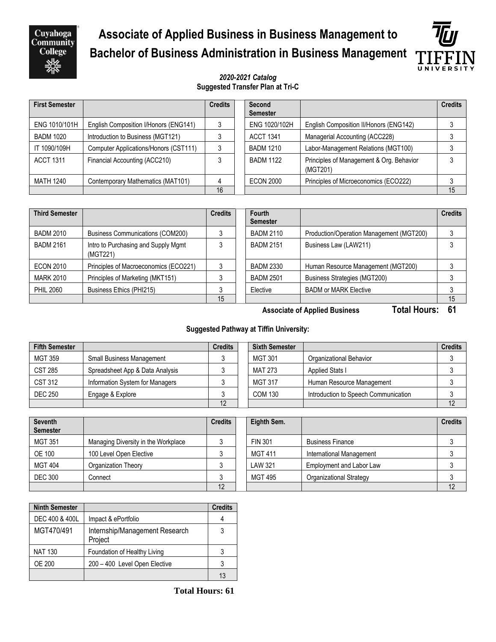Cuyahoga<br>Community **College** 

# **Associate of Applied Business in Business Management to Bachelor of Business Administration in Business Management**



#### *2020-2021 Catalog* **Suggested Transfer Plan at Tri-C**

| <b>First Semester</b> |                                       | <b>Credits</b> | Second<br><b>Semester</b> |                                                      | <b>Credits</b> |
|-----------------------|---------------------------------------|----------------|---------------------------|------------------------------------------------------|----------------|
| ENG 1010/101H         | English Composition I/Honors (ENG141) |                | ENG 1020/102H             | English Composition II/Honors (ENG142)               |                |
| <b>BADM 1020</b>      | Introduction to Business (MGT121)     |                | <b>ACCT 1341</b>          | Managerial Accounting (ACC228)                       |                |
| IT 1090/109H          | Computer Applications/Honors (CST111) | 3              | <b>BADM 1210</b>          | Labor-Management Relations (MGT100)                  |                |
| <b>ACCT 1311</b>      | Financial Accounting (ACC210)         |                | <b>BADM 1122</b>          | Principles of Management & Org. Behavior<br>(MGT201) |                |
| <b>MATH 1240</b>      | Contemporary Mathematics (MAT101)     | 4              | <b>ECON 2000</b>          | Principles of Microeconomics (ECO222)                |                |
|                       |                                       | 16             |                           |                                                      | 15             |

| <b>Third Semester</b> |                                                 | <b>Credits</b> | Fourth<br><b>Semester</b> |                                          | <b>Credits</b> |
|-----------------------|-------------------------------------------------|----------------|---------------------------|------------------------------------------|----------------|
| <b>BADM 2010</b>      | <b>Business Communications (COM200)</b>         |                | <b>BADM 2110</b>          | Production/Operation Management (MGT200) |                |
| <b>BADM 2161</b>      | Intro to Purchasing and Supply Mgmt<br>(MGT221) |                | <b>BADM 2151</b>          | Business Law (LAW211)                    |                |
| <b>ECON 2010</b>      | Principles of Macroeconomics (ECO221)           |                | <b>BADM 2330</b>          | Human Resource Management (MGT200)       |                |
| <b>MARK 2010</b>      | Principles of Marketing (MKT151)                |                | <b>BADM 2501</b>          | Business Strategies (MGT200)             |                |
| <b>PHIL 2060</b>      | Business Ethics (PHI215)                        |                | Elective                  | <b>BADM or MARK Elective</b>             |                |
|                       |                                                 | 15             |                           |                                          | 15             |

**Associate of Applied Business Total Hours: 61**

#### **Suggested Pathway at Tiffin University:**

| <b>Fifth Semester</b> |                                  | <b>Credits</b> | <b>Sixth Semester</b> |                                      | <b>Credits</b> |
|-----------------------|----------------------------------|----------------|-----------------------|--------------------------------------|----------------|
| <b>MGT 359</b>        | <b>Small Business Management</b> |                | <b>MGT 301</b>        | Organizational Behavior              |                |
| <b>CST 285</b>        | Spreadsheet App & Data Analysis  |                | MAT 273               | <b>Applied Stats I</b>               |                |
| CST 312               | Information System for Managers  |                | <b>MGT 317</b>        | Human Resource Management            |                |
| <b>DEC 250</b>        | Engage & Explore                 |                | <b>COM 130</b>        | Introduction to Speech Communication |                |
|                       |                                  | 12             |                       |                                      |                |

| <b>Seventh</b><br><b>Semester</b> |                                     | <b>Credits</b> | Eighth Sem.    |                          | <b>Credits</b> |
|-----------------------------------|-------------------------------------|----------------|----------------|--------------------------|----------------|
| <b>MGT 351</b>                    | Managing Diversity in the Workplace |                | <b>FIN 301</b> | <b>Business Finance</b>  |                |
| <b>OE 100</b>                     | 100 Level Open Elective             |                | <b>MGT 411</b> | International Management |                |
| <b>MGT 404</b>                    | Organization Theory                 |                | LAW 321        | Employment and Labor Law |                |
| <b>DEC 300</b>                    | Connect                             |                | MGT 495        | Organizational Strategy  |                |
|                                   |                                     | 12             |                |                          | 12             |

| <b>Ninth Semester</b> |                                           | <b>Credits</b> |
|-----------------------|-------------------------------------------|----------------|
| DEC 400 & 400L        | Impact & ePortfolio                       |                |
| MGT470/491            | Internship/Management Research<br>Project | 3              |
| <b>NAT 130</b>        | Foundation of Healthy Living              | 3              |
| OE 200                | 200 - 400 Level Open Elective             |                |
|                       |                                           | 13             |

 **Total Hours: 61**